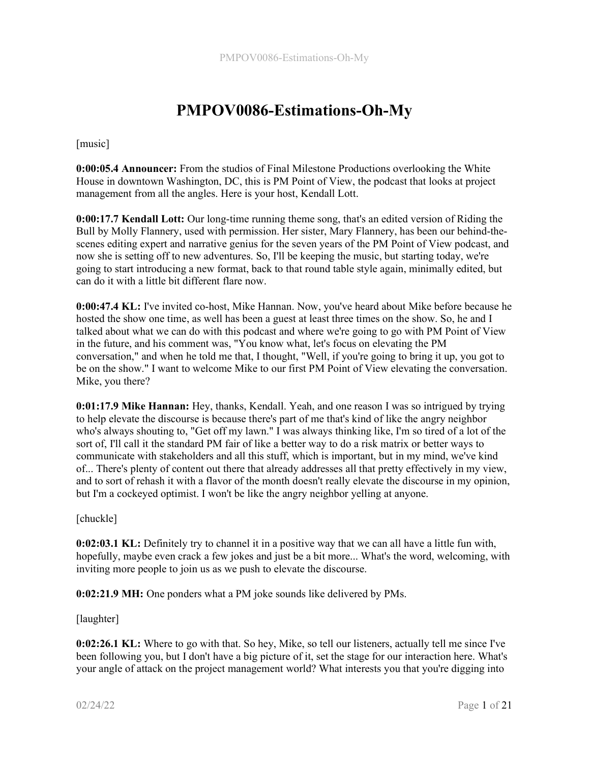# PMPOV0086-Estimations-Oh-My

[music]

0:00:05.4 Announcer: From the studios of Final Milestone Productions overlooking the White House in downtown Washington, DC, this is PM Point of View, the podcast that looks at project management from all the angles. Here is your host, Kendall Lott.

0:00:17.7 Kendall Lott: Our long-time running theme song, that's an edited version of Riding the Bull by Molly Flannery, used with permission. Her sister, Mary Flannery, has been our behind-thescenes editing expert and narrative genius for the seven years of the PM Point of View podcast, and now she is setting off to new adventures. So, I'll be keeping the music, but starting today, we're going to start introducing a new format, back to that round table style again, minimally edited, but can do it with a little bit different flare now.

0:00:47.4 KL: I've invited co-host, Mike Hannan. Now, you've heard about Mike before because he hosted the show one time, as well has been a guest at least three times on the show. So, he and I talked about what we can do with this podcast and where we're going to go with PM Point of View in the future, and his comment was, "You know what, let's focus on elevating the PM conversation," and when he told me that, I thought, "Well, if you're going to bring it up, you got to be on the show." I want to welcome Mike to our first PM Point of View elevating the conversation. Mike, you there?

0:01:17.9 Mike Hannan: Hey, thanks, Kendall. Yeah, and one reason I was so intrigued by trying to help elevate the discourse is because there's part of me that's kind of like the angry neighbor who's always shouting to, "Get off my lawn." I was always thinking like, I'm so tired of a lot of the sort of, I'll call it the standard PM fair of like a better way to do a risk matrix or better ways to communicate with stakeholders and all this stuff, which is important, but in my mind, we've kind of... There's plenty of content out there that already addresses all that pretty effectively in my view, and to sort of rehash it with a flavor of the month doesn't really elevate the discourse in my opinion, but I'm a cockeyed optimist. I won't be like the angry neighbor yelling at anyone.

[chuckle]

0:02:03.1 KL: Definitely try to channel it in a positive way that we can all have a little fun with, hopefully, maybe even crack a few jokes and just be a bit more... What's the word, welcoming, with inviting more people to join us as we push to elevate the discourse.

0:02:21.9 MH: One ponders what a PM joke sounds like delivered by PMs.

[laughter]

0:02:26.1 KL: Where to go with that. So hey, Mike, so tell our listeners, actually tell me since I've been following you, but I don't have a big picture of it, set the stage for our interaction here. What's your angle of attack on the project management world? What interests you that you're digging into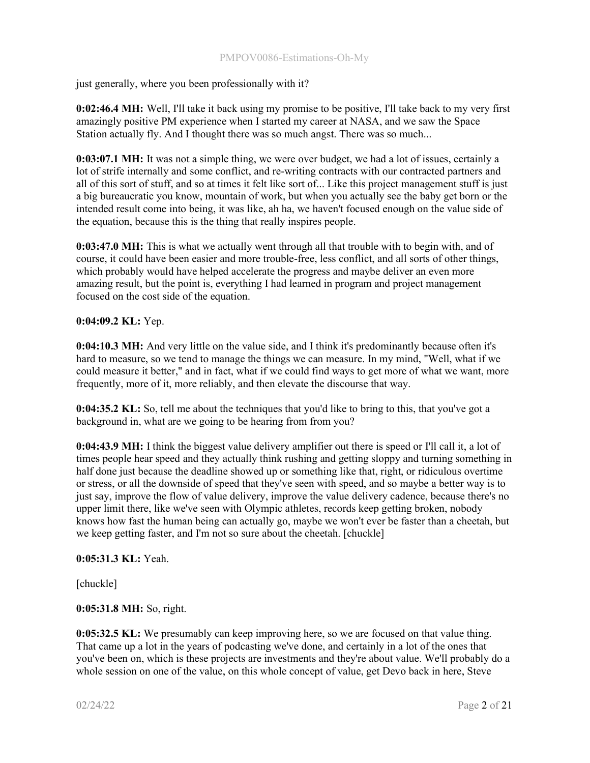just generally, where you been professionally with it?

0:02:46.4 MH: Well, I'll take it back using my promise to be positive, I'll take back to my very first amazingly positive PM experience when I started my career at NASA, and we saw the Space Station actually fly. And I thought there was so much angst. There was so much...

0:03:07.1 MH: It was not a simple thing, we were over budget, we had a lot of issues, certainly a lot of strife internally and some conflict, and re-writing contracts with our contracted partners and all of this sort of stuff, and so at times it felt like sort of... Like this project management stuff is just a big bureaucratic you know, mountain of work, but when you actually see the baby get born or the intended result come into being, it was like, ah ha, we haven't focused enough on the value side of the equation, because this is the thing that really inspires people.

0:03:47.0 MH: This is what we actually went through all that trouble with to begin with, and of course, it could have been easier and more trouble-free, less conflict, and all sorts of other things, which probably would have helped accelerate the progress and maybe deliver an even more amazing result, but the point is, everything I had learned in program and project management focused on the cost side of the equation.

0:04:09.2 KL: Yep.

0:04:10.3 MH: And very little on the value side, and I think it's predominantly because often it's hard to measure, so we tend to manage the things we can measure. In my mind, "Well, what if we could measure it better," and in fact, what if we could find ways to get more of what we want, more frequently, more of it, more reliably, and then elevate the discourse that way.

0:04:35.2 KL: So, tell me about the techniques that you'd like to bring to this, that you've got a background in, what are we going to be hearing from from you?

0:04:43.9 MH: I think the biggest value delivery amplifier out there is speed or I'll call it, a lot of times people hear speed and they actually think rushing and getting sloppy and turning something in half done just because the deadline showed up or something like that, right, or ridiculous overtime or stress, or all the downside of speed that they've seen with speed, and so maybe a better way is to just say, improve the flow of value delivery, improve the value delivery cadence, because there's no upper limit there, like we've seen with Olympic athletes, records keep getting broken, nobody knows how fast the human being can actually go, maybe we won't ever be faster than a cheetah, but we keep getting faster, and I'm not so sure about the cheetah. [chuckle]

0:05:31.3 KL: Yeah.

[chuckle]

0:05:31.8 MH: So, right.

0:05:32.5 KL: We presumably can keep improving here, so we are focused on that value thing. That came up a lot in the years of podcasting we've done, and certainly in a lot of the ones that you've been on, which is these projects are investments and they're about value. We'll probably do a whole session on one of the value, on this whole concept of value, get Devo back in here, Steve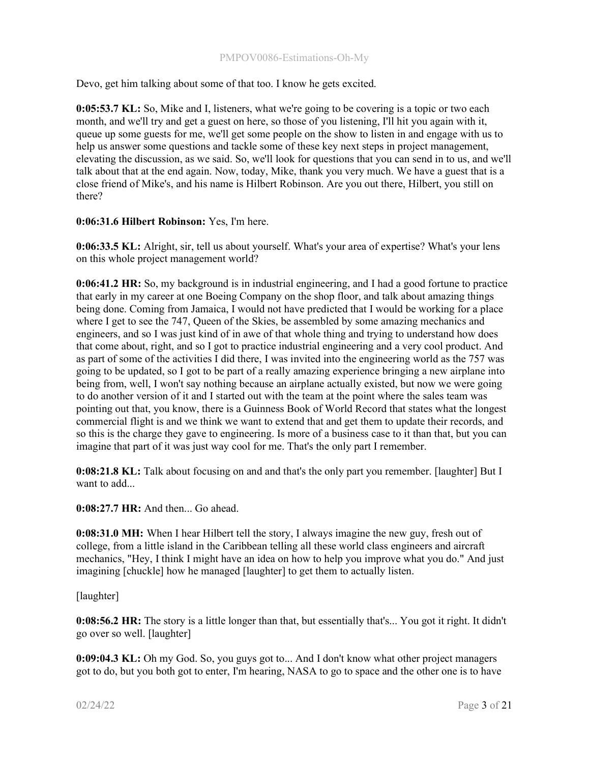Devo, get him talking about some of that too. I know he gets excited.

0:05:53.7 KL: So, Mike and I, listeners, what we're going to be covering is a topic or two each month, and we'll try and get a guest on here, so those of you listening, I'll hit you again with it, queue up some guests for me, we'll get some people on the show to listen in and engage with us to help us answer some questions and tackle some of these key next steps in project management, elevating the discussion, as we said. So, we'll look for questions that you can send in to us, and we'll talk about that at the end again. Now, today, Mike, thank you very much. We have a guest that is a close friend of Mike's, and his name is Hilbert Robinson. Are you out there, Hilbert, you still on there?

## 0:06:31.6 Hilbert Robinson: Yes, I'm here.

0:06:33.5 KL: Alright, sir, tell us about yourself. What's your area of expertise? What's your lens on this whole project management world?

0:06:41.2 HR: So, my background is in industrial engineering, and I had a good fortune to practice that early in my career at one Boeing Company on the shop floor, and talk about amazing things being done. Coming from Jamaica, I would not have predicted that I would be working for a place where I get to see the 747, Queen of the Skies, be assembled by some amazing mechanics and engineers, and so I was just kind of in awe of that whole thing and trying to understand how does that come about, right, and so I got to practice industrial engineering and a very cool product. And as part of some of the activities I did there, I was invited into the engineering world as the 757 was going to be updated, so I got to be part of a really amazing experience bringing a new airplane into being from, well, I won't say nothing because an airplane actually existed, but now we were going to do another version of it and I started out with the team at the point where the sales team was pointing out that, you know, there is a Guinness Book of World Record that states what the longest commercial flight is and we think we want to extend that and get them to update their records, and so this is the charge they gave to engineering. Is more of a business case to it than that, but you can imagine that part of it was just way cool for me. That's the only part I remember.

0:08:21.8 KL: Talk about focusing on and and that's the only part you remember. [laughter] But I want to add...

0:08:27.7 HR: And then... Go ahead.

0:08:31.0 MH: When I hear Hilbert tell the story, I always imagine the new guy, fresh out of college, from a little island in the Caribbean telling all these world class engineers and aircraft mechanics, "Hey, I think I might have an idea on how to help you improve what you do." And just imagining [chuckle] how he managed [laughter] to get them to actually listen.

[laughter]

0:08:56.2 HR: The story is a little longer than that, but essentially that's... You got it right. It didn't go over so well. [laughter]

0:09:04.3 KL: Oh my God. So, you guys got to... And I don't know what other project managers got to do, but you both got to enter, I'm hearing, NASA to go to space and the other one is to have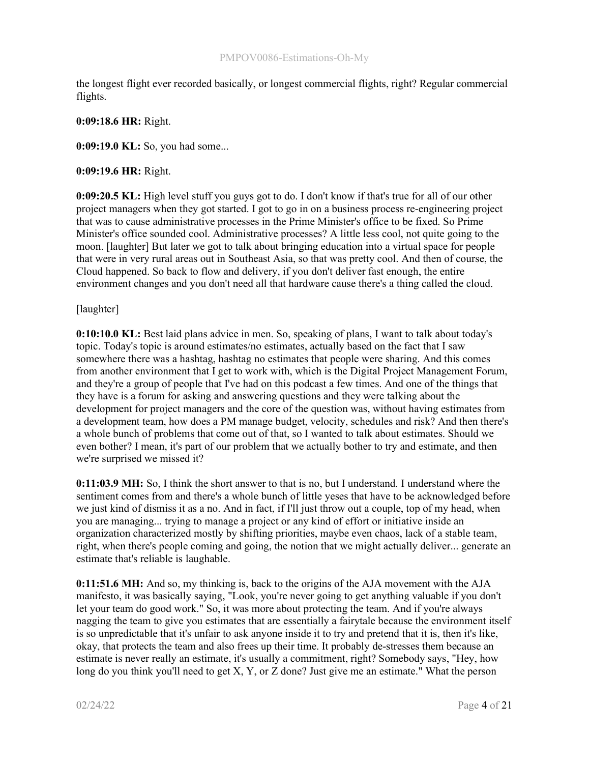the longest flight ever recorded basically, or longest commercial flights, right? Regular commercial flights.

## 0:09:18.6 HR: Right.

0:09:19.0 KL: So, you had some...

## 0:09:19.6 HR: Right.

0:09:20.5 KL: High level stuff you guys got to do. I don't know if that's true for all of our other project managers when they got started. I got to go in on a business process re-engineering project that was to cause administrative processes in the Prime Minister's office to be fixed. So Prime Minister's office sounded cool. Administrative processes? A little less cool, not quite going to the moon. [laughter] But later we got to talk about bringing education into a virtual space for people that were in very rural areas out in Southeast Asia, so that was pretty cool. And then of course, the Cloud happened. So back to flow and delivery, if you don't deliver fast enough, the entire environment changes and you don't need all that hardware cause there's a thing called the cloud.

## [laughter]

0:10:10.0 KL: Best laid plans advice in men. So, speaking of plans, I want to talk about today's topic. Today's topic is around estimates/no estimates, actually based on the fact that I saw somewhere there was a hashtag, hashtag no estimates that people were sharing. And this comes from another environment that I get to work with, which is the Digital Project Management Forum, and they're a group of people that I've had on this podcast a few times. And one of the things that they have is a forum for asking and answering questions and they were talking about the development for project managers and the core of the question was, without having estimates from a development team, how does a PM manage budget, velocity, schedules and risk? And then there's a whole bunch of problems that come out of that, so I wanted to talk about estimates. Should we even bother? I mean, it's part of our problem that we actually bother to try and estimate, and then we're surprised we missed it?

0:11:03.9 MH: So, I think the short answer to that is no, but I understand. I understand where the sentiment comes from and there's a whole bunch of little yeses that have to be acknowledged before we just kind of dismiss it as a no. And in fact, if I'll just throw out a couple, top of my head, when you are managing... trying to manage a project or any kind of effort or initiative inside an organization characterized mostly by shifting priorities, maybe even chaos, lack of a stable team, right, when there's people coming and going, the notion that we might actually deliver... generate an estimate that's reliable is laughable.

0:11:51.6 MH: And so, my thinking is, back to the origins of the AJA movement with the AJA manifesto, it was basically saying, "Look, you're never going to get anything valuable if you don't let your team do good work." So, it was more about protecting the team. And if you're always nagging the team to give you estimates that are essentially a fairytale because the environment itself is so unpredictable that it's unfair to ask anyone inside it to try and pretend that it is, then it's like, okay, that protects the team and also frees up their time. It probably de-stresses them because an estimate is never really an estimate, it's usually a commitment, right? Somebody says, "Hey, how long do you think you'll need to get X, Y, or Z done? Just give me an estimate." What the person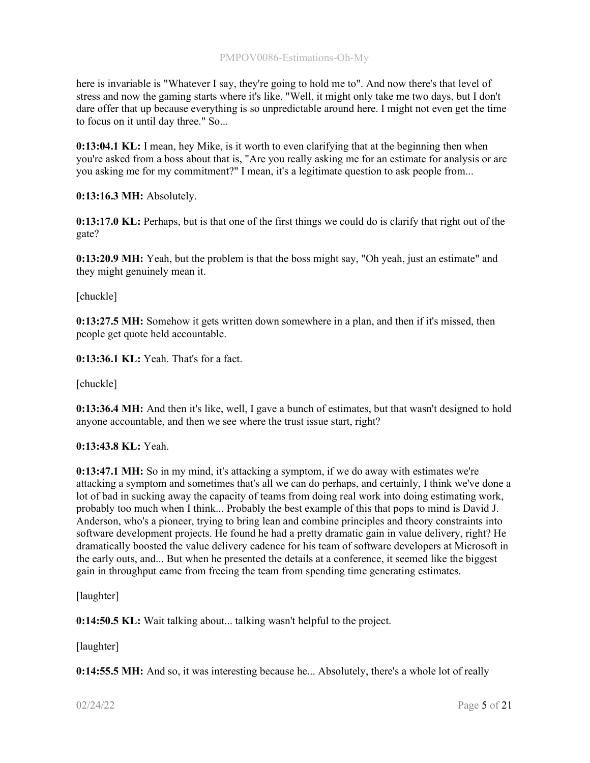here is invariable is "Whatever I say, they're going to hold me to". And now there's that level of stress and now the gaming starts where it's like, "Well, it might only take me two days, but I don't dare offer that up because everything is so unpredictable around here. I might not even get the time to focus on it until day three." So...

0:13:04.1 KL: I mean, hey Mike, is it worth to even clarifying that at the beginning then when you're asked from a boss about that is, "Are you really asking me for an estimate for analysis or are you asking me for my commitment?" I mean, it's a legitimate question to ask people from...

0:13:16.3 MH: Absolutely.

0:13:17.0 KL: Perhaps, but is that one of the first things we could do is clarify that right out of the gate?

0:13:20.9 MH: Yeah, but the problem is that the boss might say, "Oh yeah, just an estimate" and they might genuinely mean it.

[chuckle]

0:13:27.5 MH: Somehow it gets written down somewhere in a plan, and then if it's missed, then people get quote held accountable.

0:13:36.1 KL: Yeah. That's for a fact.

[chuckle]

0:13:36.4 MH: And then it's like, well, I gave a bunch of estimates, but that wasn't designed to hold anyone accountable, and then we see where the trust issue start, right?

0:13:43.8 KL: Yeah.

0:13:47.1 MH: So in my mind, it's attacking a symptom, if we do away with estimates we're attacking a symptom and sometimes that's all we can do perhaps, and certainly, I think we've done a lot of bad in sucking away the capacity of teams from doing real work into doing estimating work, probably too much when I think... Probably the best example of this that pops to mind is David J. Anderson, who's a pioneer, trying to bring lean and combine principles and theory constraints into software development projects. He found he had a pretty dramatic gain in value delivery, right? He dramatically boosted the value delivery cadence for his team of software developers at Microsoft in the early outs, and... But when he presented the details at a conference, it seemed like the biggest gain in throughput came from freeing the team from spending time generating estimates.

[laughter]

0:14:50.5 KL: Wait talking about... talking wasn't helpful to the project.

[laughter]

0:14:55.5 MH: And so, it was interesting because he... Absolutely, there's a whole lot of really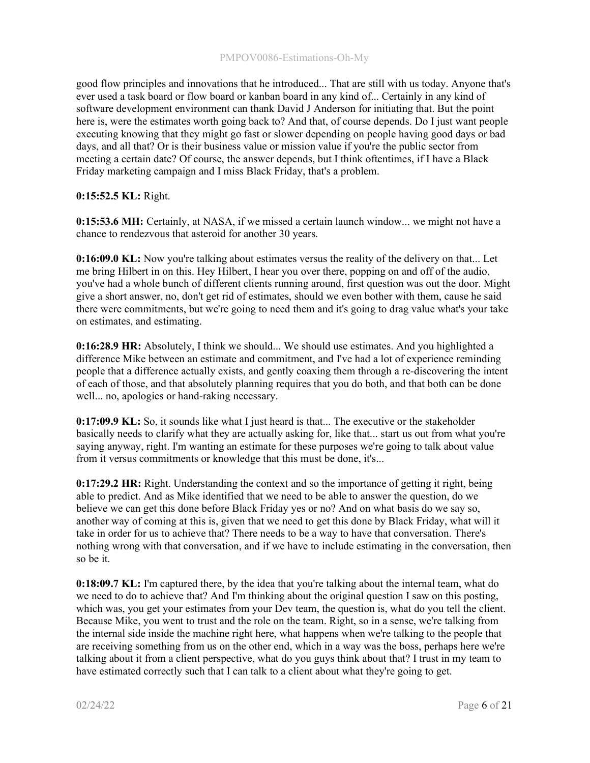good flow principles and innovations that he introduced... That are still with us today. Anyone that's ever used a task board or flow board or kanban board in any kind of... Certainly in any kind of software development environment can thank David J Anderson for initiating that. But the point here is, were the estimates worth going back to? And that, of course depends. Do I just want people executing knowing that they might go fast or slower depending on people having good days or bad days, and all that? Or is their business value or mission value if you're the public sector from meeting a certain date? Of course, the answer depends, but I think oftentimes, if I have a Black Friday marketing campaign and I miss Black Friday, that's a problem.

# 0:15:52.5 KL: Right.

0:15:53.6 MH: Certainly, at NASA, if we missed a certain launch window... we might not have a chance to rendezvous that asteroid for another 30 years.

0:16:09.0 KL: Now you're talking about estimates versus the reality of the delivery on that... Let me bring Hilbert in on this. Hey Hilbert, I hear you over there, popping on and off of the audio, you've had a whole bunch of different clients running around, first question was out the door. Might give a short answer, no, don't get rid of estimates, should we even bother with them, cause he said there were commitments, but we're going to need them and it's going to drag value what's your take on estimates, and estimating.

0:16:28.9 HR: Absolutely, I think we should... We should use estimates. And you highlighted a difference Mike between an estimate and commitment, and I've had a lot of experience reminding people that a difference actually exists, and gently coaxing them through a re-discovering the intent of each of those, and that absolutely planning requires that you do both, and that both can be done well... no, apologies or hand-raking necessary.

0:17:09.9 KL: So, it sounds like what I just heard is that... The executive or the stakeholder basically needs to clarify what they are actually asking for, like that... start us out from what you're saying anyway, right. I'm wanting an estimate for these purposes we're going to talk about value from it versus commitments or knowledge that this must be done, it's...

0:17:29.2 HR: Right. Understanding the context and so the importance of getting it right, being able to predict. And as Mike identified that we need to be able to answer the question, do we believe we can get this done before Black Friday yes or no? And on what basis do we say so, another way of coming at this is, given that we need to get this done by Black Friday, what will it take in order for us to achieve that? There needs to be a way to have that conversation. There's nothing wrong with that conversation, and if we have to include estimating in the conversation, then so be it.

0:18:09.7 KL: I'm captured there, by the idea that you're talking about the internal team, what do we need to do to achieve that? And I'm thinking about the original question I saw on this posting, which was, you get your estimates from your Dev team, the question is, what do you tell the client. Because Mike, you went to trust and the role on the team. Right, so in a sense, we're talking from the internal side inside the machine right here, what happens when we're talking to the people that are receiving something from us on the other end, which in a way was the boss, perhaps here we're talking about it from a client perspective, what do you guys think about that? I trust in my team to have estimated correctly such that I can talk to a client about what they're going to get.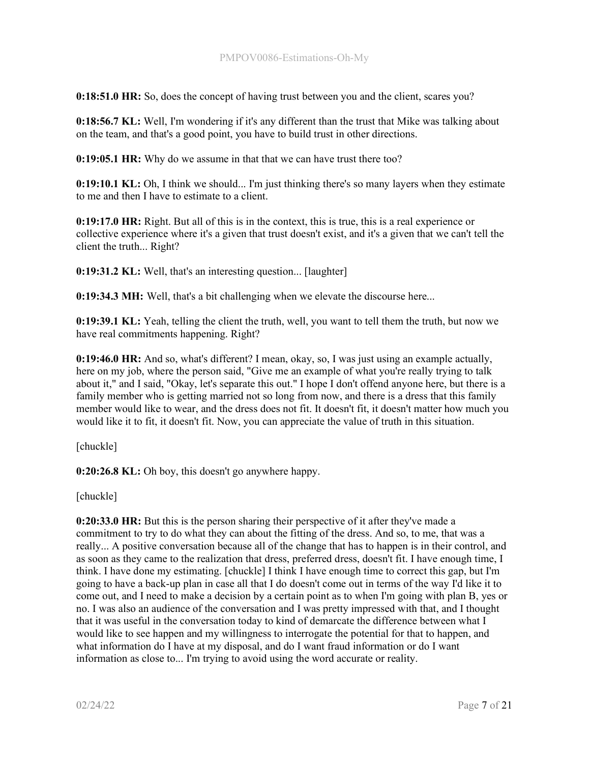0:18:51.0 HR: So, does the concept of having trust between you and the client, scares you?

0:18:56.7 KL: Well, I'm wondering if it's any different than the trust that Mike was talking about on the team, and that's a good point, you have to build trust in other directions.

0:19:05.1 HR: Why do we assume in that that we can have trust there too?

0:19:10.1 KL: Oh, I think we should... I'm just thinking there's so many layers when they estimate to me and then I have to estimate to a client.

0:19:17.0 HR: Right. But all of this is in the context, this is true, this is a real experience or collective experience where it's a given that trust doesn't exist, and it's a given that we can't tell the client the truth... Right?

0:19:31.2 KL: Well, that's an interesting question... [laughter]

0:19:34.3 MH: Well, that's a bit challenging when we elevate the discourse here...

0:19:39.1 KL: Yeah, telling the client the truth, well, you want to tell them the truth, but now we have real commitments happening. Right?

0:19:46.0 HR: And so, what's different? I mean, okay, so, I was just using an example actually, here on my job, where the person said, "Give me an example of what you're really trying to talk about it," and I said, "Okay, let's separate this out." I hope I don't offend anyone here, but there is a family member who is getting married not so long from now, and there is a dress that this family member would like to wear, and the dress does not fit. It doesn't fit, it doesn't matter how much you would like it to fit, it doesn't fit. Now, you can appreciate the value of truth in this situation.

[chuckle]

0:20:26.8 KL: Oh boy, this doesn't go anywhere happy.

[chuckle]

0:20:33.0 HR: But this is the person sharing their perspective of it after they've made a commitment to try to do what they can about the fitting of the dress. And so, to me, that was a really... A positive conversation because all of the change that has to happen is in their control, and as soon as they came to the realization that dress, preferred dress, doesn't fit. I have enough time, I think. I have done my estimating. [chuckle] I think I have enough time to correct this gap, but I'm going to have a back-up plan in case all that I do doesn't come out in terms of the way I'd like it to come out, and I need to make a decision by a certain point as to when I'm going with plan B, yes or no. I was also an audience of the conversation and I was pretty impressed with that, and I thought that it was useful in the conversation today to kind of demarcate the difference between what I would like to see happen and my willingness to interrogate the potential for that to happen, and what information do I have at my disposal, and do I want fraud information or do I want information as close to... I'm trying to avoid using the word accurate or reality.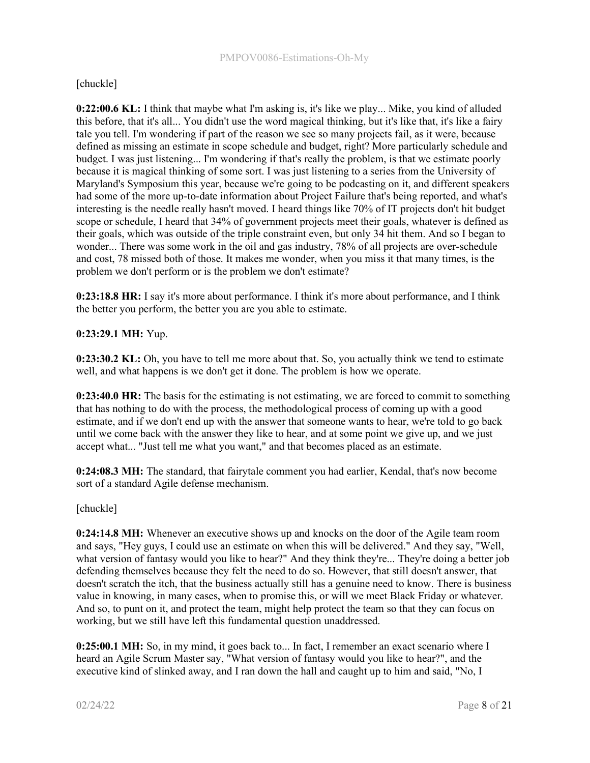# [chuckle]

0:22:00.6 KL: I think that maybe what I'm asking is, it's like we play... Mike, you kind of alluded this before, that it's all... You didn't use the word magical thinking, but it's like that, it's like a fairy tale you tell. I'm wondering if part of the reason we see so many projects fail, as it were, because defined as missing an estimate in scope schedule and budget, right? More particularly schedule and budget. I was just listening... I'm wondering if that's really the problem, is that we estimate poorly because it is magical thinking of some sort. I was just listening to a series from the University of Maryland's Symposium this year, because we're going to be podcasting on it, and different speakers had some of the more up-to-date information about Project Failure that's being reported, and what's interesting is the needle really hasn't moved. I heard things like 70% of IT projects don't hit budget scope or schedule, I heard that 34% of government projects meet their goals, whatever is defined as their goals, which was outside of the triple constraint even, but only 34 hit them. And so I began to wonder... There was some work in the oil and gas industry, 78% of all projects are over-schedule and cost, 78 missed both of those. It makes me wonder, when you miss it that many times, is the problem we don't perform or is the problem we don't estimate?

0:23:18.8 HR: I say it's more about performance. I think it's more about performance, and I think the better you perform, the better you are you able to estimate.

# 0:23:29.1 MH: Yup.

**0:23:30.2 KL:** Oh, you have to tell me more about that. So, you actually think we tend to estimate well, and what happens is we don't get it done. The problem is how we operate.

0:23:40.0 HR: The basis for the estimating is not estimating, we are forced to commit to something that has nothing to do with the process, the methodological process of coming up with a good estimate, and if we don't end up with the answer that someone wants to hear, we're told to go back until we come back with the answer they like to hear, and at some point we give up, and we just accept what... "Just tell me what you want," and that becomes placed as an estimate.

0:24:08.3 MH: The standard, that fairytale comment you had earlier, Kendal, that's now become sort of a standard Agile defense mechanism.

[chuckle]

0:24:14.8 MH: Whenever an executive shows up and knocks on the door of the Agile team room and says, "Hey guys, I could use an estimate on when this will be delivered." And they say, "Well, what version of fantasy would you like to hear?" And they think they're... They're doing a better job defending themselves because they felt the need to do so. However, that still doesn't answer, that doesn't scratch the itch, that the business actually still has a genuine need to know. There is business value in knowing, in many cases, when to promise this, or will we meet Black Friday or whatever. And so, to punt on it, and protect the team, might help protect the team so that they can focus on working, but we still have left this fundamental question unaddressed.

0:25:00.1 MH: So, in my mind, it goes back to... In fact, I remember an exact scenario where I heard an Agile Scrum Master say, "What version of fantasy would you like to hear?", and the executive kind of slinked away, and I ran down the hall and caught up to him and said, "No, I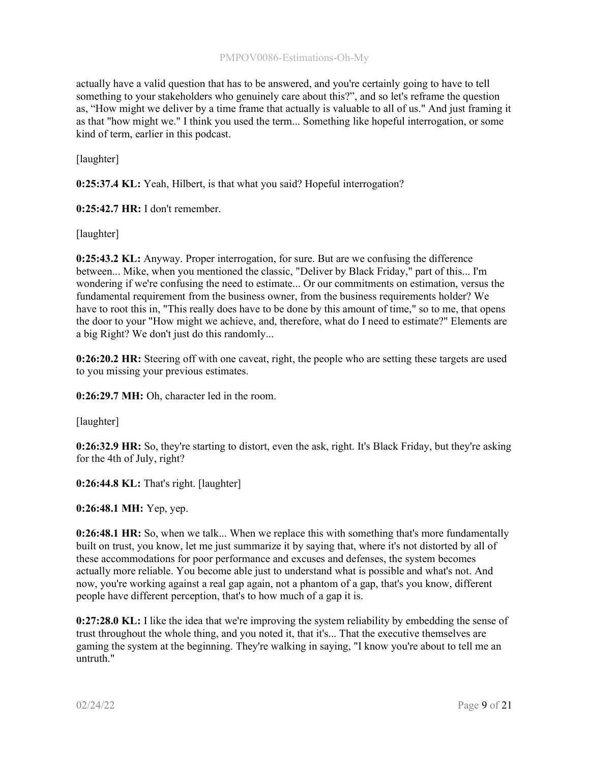## PMPOV0086-Estimations-Oh-My

actually have a valid question that has to be answered, and you're certainly going to have to tell something to your stakeholders who genuinely care about this?", and so let's reframe the question as, "How might we deliver by a time frame that actually is valuable to all of us." And just framing it as that "how might we." I think you used the term... Something like hopeful interrogation, or some kind of term, earlier in this podcast.

[laughter]

0:25:37.4 KL: Yeah, Hilbert, is that what you said? Hopeful interrogation?

0:25:42.7 HR: I don't remember.

[laughter]

0:25:43.2 KL: Anyway. Proper interrogation, for sure. But are we confusing the difference between... Mike, when you mentioned the classic, "Deliver by Black Friday," part of this... I'm wondering if we're confusing the need to estimate... Or our commitments on estimation, versus the fundamental requirement from the business owner, from the business requirements holder? We have to root this in, "This really does have to be done by this amount of time," so to me, that opens the door to your "How might we achieve, and, therefore, what do I need to estimate?" Elements are a big Right? We don't just do this randomly...

0:26:20.2 HR: Steering off with one caveat, right, the people who are setting these targets are used to you missing your previous estimates.

0:26:29.7 MH: Oh, character led in the room.

[laughter]

0:26:32.9 HR: So, they're starting to distort, even the ask, right. It's Black Friday, but they're asking for the 4th of July, right?

0:26:44.8 KL: That's right. [laughter]

0:26:48.1 MH: Yep, yep.

0:26:48.1 HR: So, when we talk... When we replace this with something that's more fundamentally built on trust, you know, let me just summarize it by saying that, where it's not distorted by all of these accommodations for poor performance and excuses and defenses, the system becomes actually more reliable. You become able just to understand what is possible and what's not. And now, you're working against a real gap again, not a phantom of a gap, that's you know, different people have different perception, that's to how much of a gap it is.

0:27:28.0 KL: I like the idea that we're improving the system reliability by embedding the sense of trust throughout the whole thing, and you noted it, that it's... That the executive themselves are gaming the system at the beginning. They're walking in saying, "I know you're about to tell me an untruth."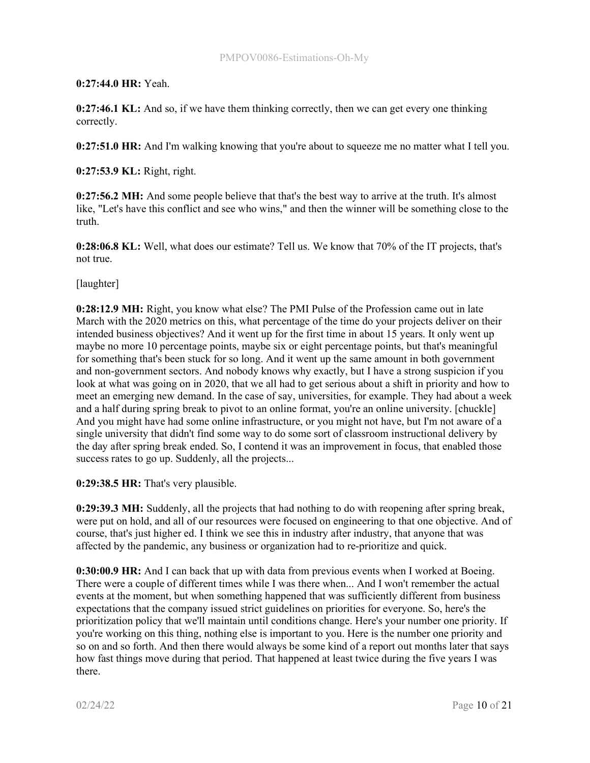# 0:27:44.0 HR: Yeah.

0:27:46.1 KL: And so, if we have them thinking correctly, then we can get every one thinking correctly.

0:27:51.0 HR: And I'm walking knowing that you're about to squeeze me no matter what I tell you.

0:27:53.9 KL: Right, right.

0:27:56.2 MH: And some people believe that that's the best way to arrive at the truth. It's almost like, "Let's have this conflict and see who wins," and then the winner will be something close to the truth.

0:28:06.8 KL: Well, what does our estimate? Tell us. We know that 70% of the IT projects, that's not true.

[laughter]

0:28:12.9 MH: Right, you know what else? The PMI Pulse of the Profession came out in late March with the 2020 metrics on this, what percentage of the time do your projects deliver on their intended business objectives? And it went up for the first time in about 15 years. It only went up maybe no more 10 percentage points, maybe six or eight percentage points, but that's meaningful for something that's been stuck for so long. And it went up the same amount in both government and non-government sectors. And nobody knows why exactly, but I have a strong suspicion if you look at what was going on in 2020, that we all had to get serious about a shift in priority and how to meet an emerging new demand. In the case of say, universities, for example. They had about a week and a half during spring break to pivot to an online format, you're an online university. [chuckle] And you might have had some online infrastructure, or you might not have, but I'm not aware of a single university that didn't find some way to do some sort of classroom instructional delivery by the day after spring break ended. So, I contend it was an improvement in focus, that enabled those success rates to go up. Suddenly, all the projects...

0:29:38.5 HR: That's very plausible.

0:29:39.3 MH: Suddenly, all the projects that had nothing to do with reopening after spring break, were put on hold, and all of our resources were focused on engineering to that one objective. And of course, that's just higher ed. I think we see this in industry after industry, that anyone that was affected by the pandemic, any business or organization had to re-prioritize and quick.

0:30:00.9 HR: And I can back that up with data from previous events when I worked at Boeing. There were a couple of different times while I was there when... And I won't remember the actual events at the moment, but when something happened that was sufficiently different from business expectations that the company issued strict guidelines on priorities for everyone. So, here's the prioritization policy that we'll maintain until conditions change. Here's your number one priority. If you're working on this thing, nothing else is important to you. Here is the number one priority and so on and so forth. And then there would always be some kind of a report out months later that says how fast things move during that period. That happened at least twice during the five years I was there.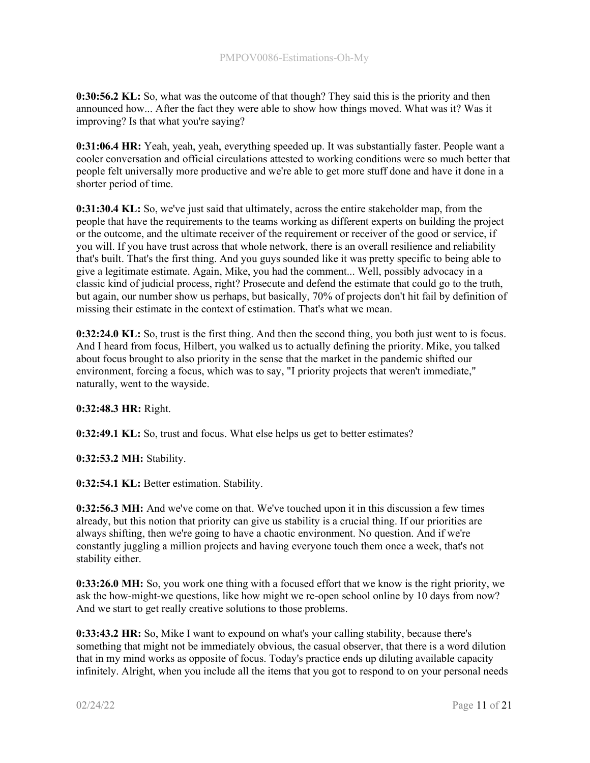0:30:56.2 KL: So, what was the outcome of that though? They said this is the priority and then announced how... After the fact they were able to show how things moved. What was it? Was it improving? Is that what you're saying?

0:31:06.4 HR: Yeah, yeah, yeah, everything speeded up. It was substantially faster. People want a cooler conversation and official circulations attested to working conditions were so much better that people felt universally more productive and we're able to get more stuff done and have it done in a shorter period of time.

0:31:30.4 KL: So, we've just said that ultimately, across the entire stakeholder map, from the people that have the requirements to the teams working as different experts on building the project or the outcome, and the ultimate receiver of the requirement or receiver of the good or service, if you will. If you have trust across that whole network, there is an overall resilience and reliability that's built. That's the first thing. And you guys sounded like it was pretty specific to being able to give a legitimate estimate. Again, Mike, you had the comment... Well, possibly advocacy in a classic kind of judicial process, right? Prosecute and defend the estimate that could go to the truth, but again, our number show us perhaps, but basically, 70% of projects don't hit fail by definition of missing their estimate in the context of estimation. That's what we mean.

0:32:24.0 KL: So, trust is the first thing. And then the second thing, you both just went to is focus. And I heard from focus, Hilbert, you walked us to actually defining the priority. Mike, you talked about focus brought to also priority in the sense that the market in the pandemic shifted our environment, forcing a focus, which was to say, "I priority projects that weren't immediate," naturally, went to the wayside.

# 0:32:48.3 HR: Right.

0:32:49.1 KL: So, trust and focus. What else helps us get to better estimates?

0:32:53.2 MH: Stability.

0:32:54.1 KL: Better estimation. Stability.

0:32:56.3 MH: And we've come on that. We've touched upon it in this discussion a few times already, but this notion that priority can give us stability is a crucial thing. If our priorities are always shifting, then we're going to have a chaotic environment. No question. And if we're constantly juggling a million projects and having everyone touch them once a week, that's not stability either.

0:33:26.0 MH: So, you work one thing with a focused effort that we know is the right priority, we ask the how-might-we questions, like how might we re-open school online by 10 days from now? And we start to get really creative solutions to those problems.

0:33:43.2 HR: So, Mike I want to expound on what's your calling stability, because there's something that might not be immediately obvious, the casual observer, that there is a word dilution that in my mind works as opposite of focus. Today's practice ends up diluting available capacity infinitely. Alright, when you include all the items that you got to respond to on your personal needs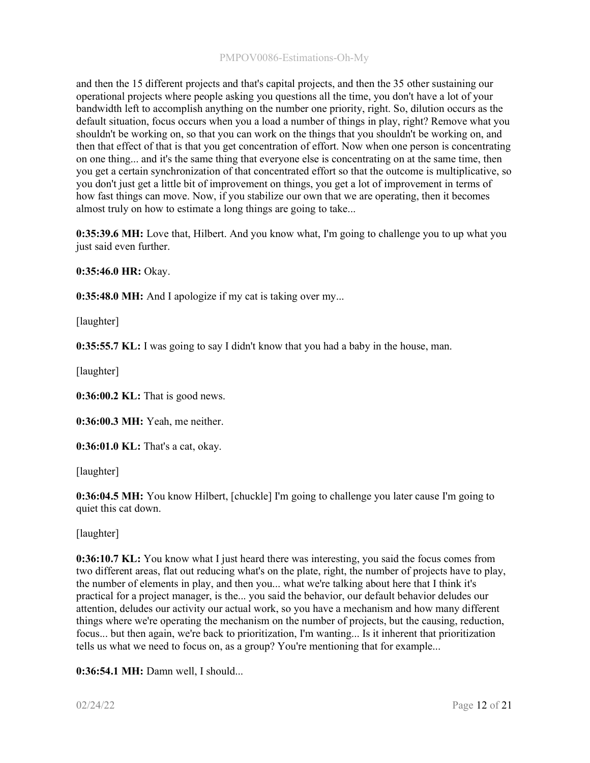and then the 15 different projects and that's capital projects, and then the 35 other sustaining our operational projects where people asking you questions all the time, you don't have a lot of your bandwidth left to accomplish anything on the number one priority, right. So, dilution occurs as the default situation, focus occurs when you a load a number of things in play, right? Remove what you shouldn't be working on, so that you can work on the things that you shouldn't be working on, and then that effect of that is that you get concentration of effort. Now when one person is concentrating on one thing... and it's the same thing that everyone else is concentrating on at the same time, then you get a certain synchronization of that concentrated effort so that the outcome is multiplicative, so you don't just get a little bit of improvement on things, you get a lot of improvement in terms of how fast things can move. Now, if you stabilize our own that we are operating, then it becomes almost truly on how to estimate a long things are going to take...

0:35:39.6 MH: Love that, Hilbert. And you know what, I'm going to challenge you to up what you just said even further.

0:35:46.0 HR: Okay.

0:35:48.0 MH: And I apologize if my cat is taking over my...

[laughter]

0:35:55.7 KL: I was going to say I didn't know that you had a baby in the house, man.

[laughter]

0:36:00.2 KL: That is good news.

0:36:00.3 MH: Yeah, me neither.

0:36:01.0 KL: That's a cat, okay.

[laughter]

0:36:04.5 MH: You know Hilbert, [chuckle] I'm going to challenge you later cause I'm going to quiet this cat down.

[laughter]

**0:36:10.7 KL:** You know what I just heard there was interesting, you said the focus comes from two different areas, flat out reducing what's on the plate, right, the number of projects have to play, the number of elements in play, and then you... what we're talking about here that I think it's practical for a project manager, is the... you said the behavior, our default behavior deludes our attention, deludes our activity our actual work, so you have a mechanism and how many different things where we're operating the mechanism on the number of projects, but the causing, reduction, focus... but then again, we're back to prioritization, I'm wanting... Is it inherent that prioritization tells us what we need to focus on, as a group? You're mentioning that for example...

0:36:54.1 MH: Damn well, I should...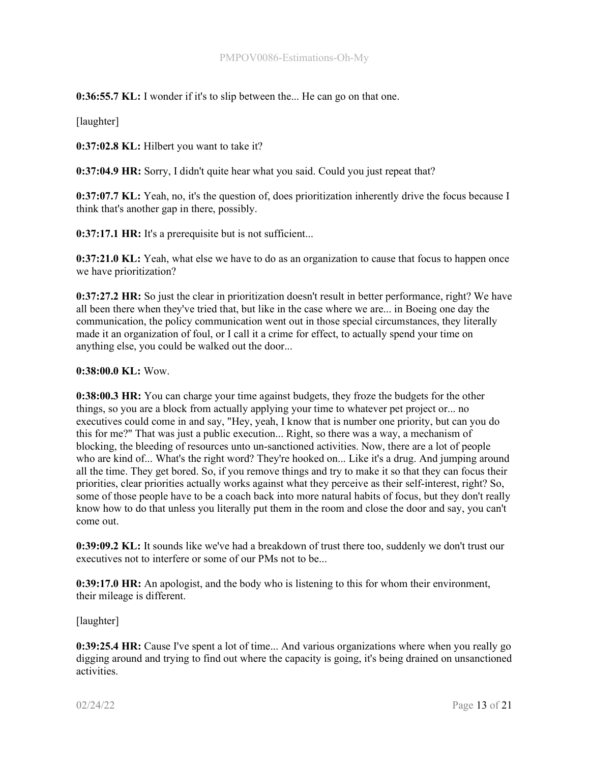0:36:55.7 KL: I wonder if it's to slip between the... He can go on that one.

[laughter]

0:37:02.8 KL: Hilbert you want to take it?

0:37:04.9 HR: Sorry, I didn't quite hear what you said. Could you just repeat that?

0:37:07.7 KL: Yeah, no, it's the question of, does prioritization inherently drive the focus because I think that's another gap in there, possibly.

0:37:17.1 HR: It's a prerequisite but is not sufficient...

0:37:21.0 KL: Yeah, what else we have to do as an organization to cause that focus to happen once we have prioritization?

0:37:27.2 HR: So just the clear in prioritization doesn't result in better performance, right? We have all been there when they've tried that, but like in the case where we are... in Boeing one day the communication, the policy communication went out in those special circumstances, they literally made it an organization of foul, or I call it a crime for effect, to actually spend your time on anything else, you could be walked out the door...

#### 0:38:00.0 KL: Wow.

0:38:00.3 HR: You can charge your time against budgets, they froze the budgets for the other things, so you are a block from actually applying your time to whatever pet project or... no executives could come in and say, "Hey, yeah, I know that is number one priority, but can you do this for me?" That was just a public execution... Right, so there was a way, a mechanism of blocking, the bleeding of resources unto un-sanctioned activities. Now, there are a lot of people who are kind of... What's the right word? They're hooked on... Like it's a drug. And jumping around all the time. They get bored. So, if you remove things and try to make it so that they can focus their priorities, clear priorities actually works against what they perceive as their self-interest, right? So, some of those people have to be a coach back into more natural habits of focus, but they don't really know how to do that unless you literally put them in the room and close the door and say, you can't come out.

0:39:09.2 KL: It sounds like we've had a breakdown of trust there too, suddenly we don't trust our executives not to interfere or some of our PMs not to be...

0:39:17.0 HR: An apologist, and the body who is listening to this for whom their environment, their mileage is different.

[laughter]

0:39:25.4 HR: Cause I've spent a lot of time... And various organizations where when you really go digging around and trying to find out where the capacity is going, it's being drained on unsanctioned activities.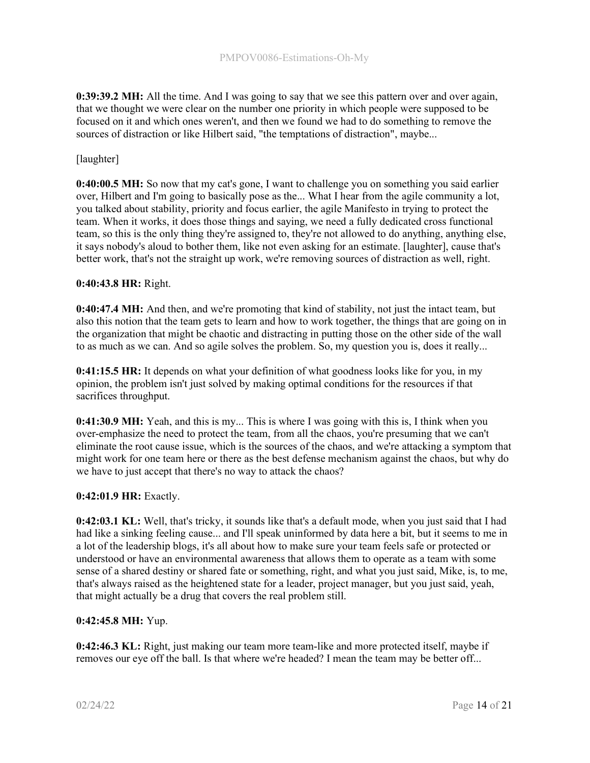0:39:39.2 MH: All the time. And I was going to say that we see this pattern over and over again, that we thought we were clear on the number one priority in which people were supposed to be focused on it and which ones weren't, and then we found we had to do something to remove the sources of distraction or like Hilbert said, "the temptations of distraction", maybe...

## [laughter]

0:40:00.5 MH: So now that my cat's gone, I want to challenge you on something you said earlier over, Hilbert and I'm going to basically pose as the... What I hear from the agile community a lot, you talked about stability, priority and focus earlier, the agile Manifesto in trying to protect the team. When it works, it does those things and saying, we need a fully dedicated cross functional team, so this is the only thing they're assigned to, they're not allowed to do anything, anything else, it says nobody's aloud to bother them, like not even asking for an estimate. [laughter], cause that's better work, that's not the straight up work, we're removing sources of distraction as well, right.

#### 0:40:43.8 HR: Right.

0:40:47.4 MH: And then, and we're promoting that kind of stability, not just the intact team, but also this notion that the team gets to learn and how to work together, the things that are going on in the organization that might be chaotic and distracting in putting those on the other side of the wall to as much as we can. And so agile solves the problem. So, my question you is, does it really...

0:41:15.5 HR: It depends on what your definition of what goodness looks like for you, in my opinion, the problem isn't just solved by making optimal conditions for the resources if that sacrifices throughput.

0:41:30.9 MH: Yeah, and this is my... This is where I was going with this is, I think when you over-emphasize the need to protect the team, from all the chaos, you're presuming that we can't eliminate the root cause issue, which is the sources of the chaos, and we're attacking a symptom that might work for one team here or there as the best defense mechanism against the chaos, but why do we have to just accept that there's no way to attack the chaos?

#### 0:42:01.9 HR: Exactly.

0:42:03.1 KL: Well, that's tricky, it sounds like that's a default mode, when you just said that I had had like a sinking feeling cause... and I'll speak uninformed by data here a bit, but it seems to me in a lot of the leadership blogs, it's all about how to make sure your team feels safe or protected or understood or have an environmental awareness that allows them to operate as a team with some sense of a shared destiny or shared fate or something, right, and what you just said, Mike, is, to me, that's always raised as the heightened state for a leader, project manager, but you just said, yeah, that might actually be a drug that covers the real problem still.

# 0:42:45.8 MH: Yup.

0:42:46.3 KL: Right, just making our team more team-like and more protected itself, maybe if removes our eye off the ball. Is that where we're headed? I mean the team may be better off...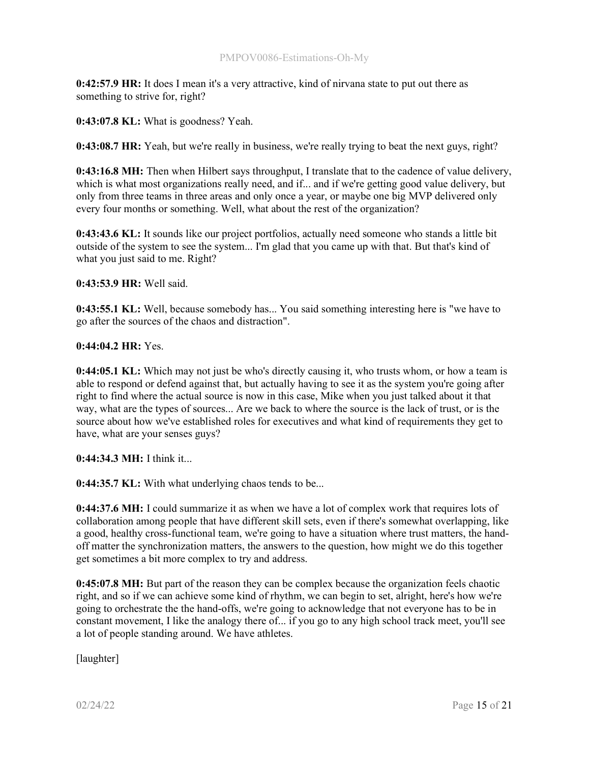0:42:57.9 HR: It does I mean it's a very attractive, kind of nirvana state to put out there as something to strive for, right?

0:43:07.8 KL: What is goodness? Yeah.

0:43:08.7 HR: Yeah, but we're really in business, we're really trying to beat the next guys, right?

0:43:16.8 MH: Then when Hilbert says throughput, I translate that to the cadence of value delivery, which is what most organizations really need, and if... and if we're getting good value delivery, but only from three teams in three areas and only once a year, or maybe one big MVP delivered only every four months or something. Well, what about the rest of the organization?

0:43:43.6 KL: It sounds like our project portfolios, actually need someone who stands a little bit outside of the system to see the system... I'm glad that you came up with that. But that's kind of what you just said to me. Right?

0:43:53.9 HR: Well said.

0:43:55.1 KL: Well, because somebody has... You said something interesting here is "we have to go after the sources of the chaos and distraction".

0:44:04.2 HR: Yes.

0:44:05.1 KL: Which may not just be who's directly causing it, who trusts whom, or how a team is able to respond or defend against that, but actually having to see it as the system you're going after right to find where the actual source is now in this case, Mike when you just talked about it that way, what are the types of sources... Are we back to where the source is the lack of trust, or is the source about how we've established roles for executives and what kind of requirements they get to have, what are your senses guys?

0:44:34.3 MH: I think it...

0:44:35.7 KL: With what underlying chaos tends to be...

0:44:37.6 MH: I could summarize it as when we have a lot of complex work that requires lots of collaboration among people that have different skill sets, even if there's somewhat overlapping, like a good, healthy cross-functional team, we're going to have a situation where trust matters, the handoff matter the synchronization matters, the answers to the question, how might we do this together get sometimes a bit more complex to try and address.

0:45:07.8 MH: But part of the reason they can be complex because the organization feels chaotic right, and so if we can achieve some kind of rhythm, we can begin to set, alright, here's how we're going to orchestrate the the hand-offs, we're going to acknowledge that not everyone has to be in constant movement, I like the analogy there of... if you go to any high school track meet, you'll see a lot of people standing around. We have athletes.

[laughter]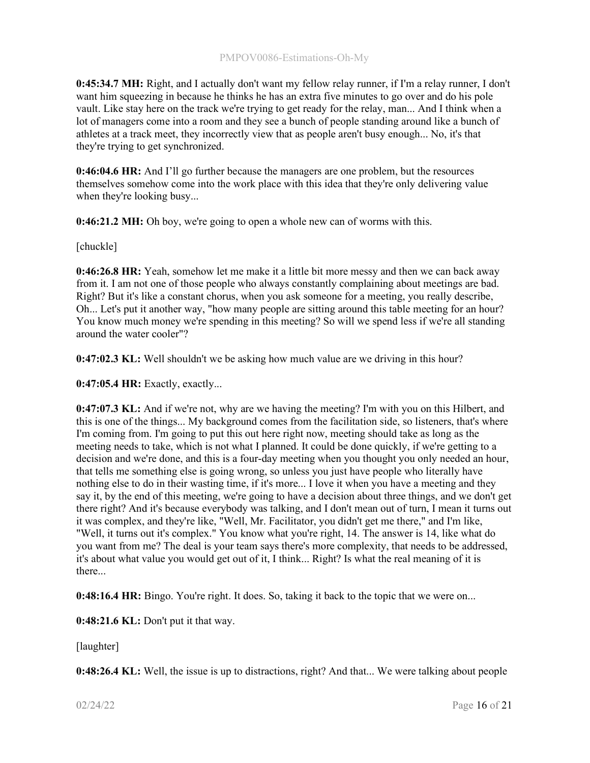0:45:34.7 MH: Right, and I actually don't want my fellow relay runner, if I'm a relay runner, I don't want him squeezing in because he thinks he has an extra five minutes to go over and do his pole vault. Like stay here on the track we're trying to get ready for the relay, man... And I think when a lot of managers come into a room and they see a bunch of people standing around like a bunch of athletes at a track meet, they incorrectly view that as people aren't busy enough... No, it's that they're trying to get synchronized.

0:46:04.6 HR: And I'll go further because the managers are one problem, but the resources themselves somehow come into the work place with this idea that they're only delivering value when they're looking busy...

0:46:21.2 MH: Oh boy, we're going to open a whole new can of worms with this.

[chuckle]

0:46:26.8 HR: Yeah, somehow let me make it a little bit more messy and then we can back away from it. I am not one of those people who always constantly complaining about meetings are bad. Right? But it's like a constant chorus, when you ask someone for a meeting, you really describe, Oh... Let's put it another way, "how many people are sitting around this table meeting for an hour? You know much money we're spending in this meeting? So will we spend less if we're all standing around the water cooler"?

0:47:02.3 KL: Well shouldn't we be asking how much value are we driving in this hour?

0:47:05.4 HR: Exactly, exactly...

0:47:07.3 KL: And if we're not, why are we having the meeting? I'm with you on this Hilbert, and this is one of the things... My background comes from the facilitation side, so listeners, that's where I'm coming from. I'm going to put this out here right now, meeting should take as long as the meeting needs to take, which is not what I planned. It could be done quickly, if we're getting to a decision and we're done, and this is a four-day meeting when you thought you only needed an hour, that tells me something else is going wrong, so unless you just have people who literally have nothing else to do in their wasting time, if it's more... I love it when you have a meeting and they say it, by the end of this meeting, we're going to have a decision about three things, and we don't get there right? And it's because everybody was talking, and I don't mean out of turn, I mean it turns out it was complex, and they're like, "Well, Mr. Facilitator, you didn't get me there," and I'm like, "Well, it turns out it's complex." You know what you're right, 14. The answer is 14, like what do you want from me? The deal is your team says there's more complexity, that needs to be addressed, it's about what value you would get out of it, I think... Right? Is what the real meaning of it is there...

0:48:16.4 HR: Bingo. You're right. It does. So, taking it back to the topic that we were on...

0:48:21.6 KL: Don't put it that way.

[laughter]

0:48:26.4 KL: Well, the issue is up to distractions, right? And that... We were talking about people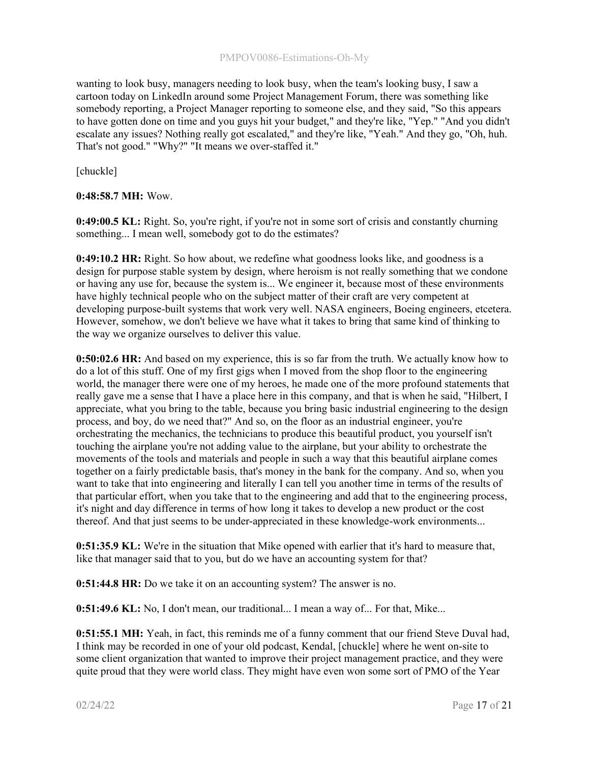#### PMPOV0086-Estimations-Oh-My

wanting to look busy, managers needing to look busy, when the team's looking busy, I saw a cartoon today on LinkedIn around some Project Management Forum, there was something like somebody reporting, a Project Manager reporting to someone else, and they said, "So this appears to have gotten done on time and you guys hit your budget," and they're like, "Yep." "And you didn't escalate any issues? Nothing really got escalated," and they're like, "Yeah." And they go, "Oh, huh. That's not good." "Why?" "It means we over-staffed it."

[chuckle]

## 0:48:58.7 MH: Wow.

0:49:00.5 KL: Right. So, you're right, if you're not in some sort of crisis and constantly churning something... I mean well, somebody got to do the estimates?

0:49:10.2 HR: Right. So how about, we redefine what goodness looks like, and goodness is a design for purpose stable system by design, where heroism is not really something that we condone or having any use for, because the system is... We engineer it, because most of these environments have highly technical people who on the subject matter of their craft are very competent at developing purpose-built systems that work very well. NASA engineers, Boeing engineers, etcetera. However, somehow, we don't believe we have what it takes to bring that same kind of thinking to the way we organize ourselves to deliver this value.

0:50:02.6 HR: And based on my experience, this is so far from the truth. We actually know how to do a lot of this stuff. One of my first gigs when I moved from the shop floor to the engineering world, the manager there were one of my heroes, he made one of the more profound statements that really gave me a sense that I have a place here in this company, and that is when he said, "Hilbert, I appreciate, what you bring to the table, because you bring basic industrial engineering to the design process, and boy, do we need that?" And so, on the floor as an industrial engineer, you're orchestrating the mechanics, the technicians to produce this beautiful product, you yourself isn't touching the airplane you're not adding value to the airplane, but your ability to orchestrate the movements of the tools and materials and people in such a way that this beautiful airplane comes together on a fairly predictable basis, that's money in the bank for the company. And so, when you want to take that into engineering and literally I can tell you another time in terms of the results of that particular effort, when you take that to the engineering and add that to the engineering process, it's night and day difference in terms of how long it takes to develop a new product or the cost thereof. And that just seems to be under-appreciated in these knowledge-work environments...

0:51:35.9 KL: We're in the situation that Mike opened with earlier that it's hard to measure that, like that manager said that to you, but do we have an accounting system for that?

0:51:44.8 HR: Do we take it on an accounting system? The answer is no.

0:51:49.6 KL: No, I don't mean, our traditional... I mean a way of... For that, Mike...

0:51:55.1 MH: Yeah, in fact, this reminds me of a funny comment that our friend Steve Duval had, I think may be recorded in one of your old podcast, Kendal, [chuckle] where he went on-site to some client organization that wanted to improve their project management practice, and they were quite proud that they were world class. They might have even won some sort of PMO of the Year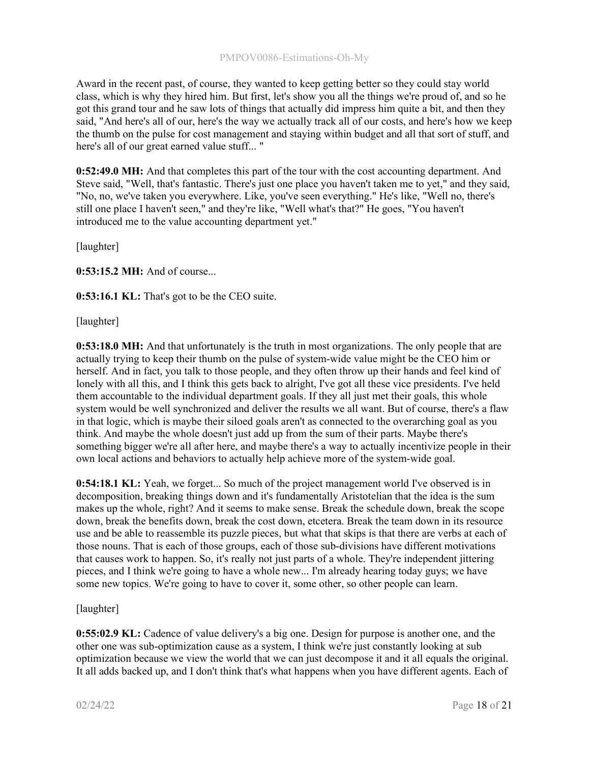Award in the recent past, of course, they wanted to keep getting better so they could stay world class, which is why they hired him. But first, let's show you all the things we're proud of, and so he got this grand tour and he saw lots of things that actually did impress him quite a bit, and then they said, "And here's all of our, here's the way we actually track all of our costs, and here's how we keep the thumb on the pulse for cost management and staying within budget and all that sort of stuff, and here's all of our great earned value stuff... "

0:52:49.0 MH: And that completes this part of the tour with the cost accounting department. And Steve said, "Well, that's fantastic. There's just one place you haven't taken me to yet," and they said, "No, no, we've taken you everywhere. Like, you've seen everything." He's like, "Well no, there's still one place I haven't seen," and they're like, "Well what's that?" He goes, "You haven't introduced me to the value accounting department yet."

[laughter]

0:53:15.2 MH: And of course...

0:53:16.1 KL: That's got to be the CEO suite.

[laughter]

0:53:18.0 MH: And that unfortunately is the truth in most organizations. The only people that are actually trying to keep their thumb on the pulse of system-wide value might be the CEO him or herself. And in fact, you talk to those people, and they often throw up their hands and feel kind of lonely with all this, and I think this gets back to alright, I've got all these vice presidents. I've held them accountable to the individual department goals. If they all just met their goals, this whole system would be well synchronized and deliver the results we all want. But of course, there's a flaw in that logic, which is maybe their siloed goals aren't as connected to the overarching goal as you think. And maybe the whole doesn't just add up from the sum of their parts. Maybe there's something bigger we're all after here, and maybe there's a way to actually incentivize people in their own local actions and behaviors to actually help achieve more of the system-wide goal.

0:54:18.1 KL: Yeah, we forget... So much of the project management world I've observed is in decomposition, breaking things down and it's fundamentally Aristotelian that the idea is the sum makes up the whole, right? And it seems to make sense. Break the schedule down, break the scope down, break the benefits down, break the cost down, etcetera. Break the team down in its resource use and be able to reassemble its puzzle pieces, but what that skips is that there are verbs at each of those nouns. That is each of those groups, each of those sub-divisions have different motivations that causes work to happen. So, it's really not just parts of a whole. They're independent jittering pieces, and I think we're going to have a whole new... I'm already hearing today guys; we have some new topics. We're going to have to cover it, some other, so other people can learn.

[laughter]

0:55:02.9 KL: Cadence of value delivery's a big one. Design for purpose is another one, and the other one was sub-optimization cause as a system, I think we're just constantly looking at sub optimization because we view the world that we can just decompose it and it all equals the original. It all adds backed up, and I don't think that's what happens when you have different agents. Each of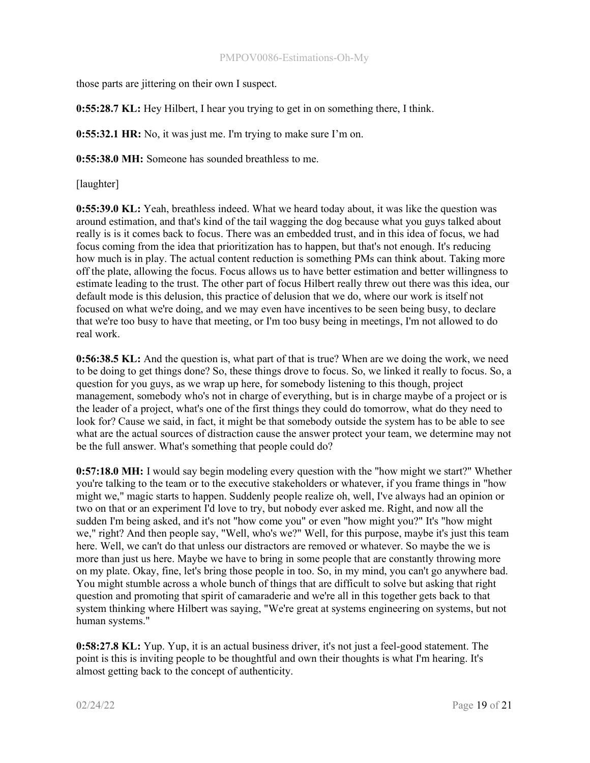#### PMPOV0086-Estimations-Oh-My

those parts are jittering on their own I suspect.

0:55:28.7 KL: Hey Hilbert, I hear you trying to get in on something there, I think.

0:55:32.1 HR: No, it was just me. I'm trying to make sure I'm on.

0:55:38.0 MH: Someone has sounded breathless to me.

[laughter]

0:55:39.0 KL: Yeah, breathless indeed. What we heard today about, it was like the question was around estimation, and that's kind of the tail wagging the dog because what you guys talked about really is is it comes back to focus. There was an embedded trust, and in this idea of focus, we had focus coming from the idea that prioritization has to happen, but that's not enough. It's reducing how much is in play. The actual content reduction is something PMs can think about. Taking more off the plate, allowing the focus. Focus allows us to have better estimation and better willingness to estimate leading to the trust. The other part of focus Hilbert really threw out there was this idea, our default mode is this delusion, this practice of delusion that we do, where our work is itself not focused on what we're doing, and we may even have incentives to be seen being busy, to declare that we're too busy to have that meeting, or I'm too busy being in meetings, I'm not allowed to do real work.

0:56:38.5 KL: And the question is, what part of that is true? When are we doing the work, we need to be doing to get things done? So, these things drove to focus. So, we linked it really to focus. So, a question for you guys, as we wrap up here, for somebody listening to this though, project management, somebody who's not in charge of everything, but is in charge maybe of a project or is the leader of a project, what's one of the first things they could do tomorrow, what do they need to look for? Cause we said, in fact, it might be that somebody outside the system has to be able to see what are the actual sources of distraction cause the answer protect your team, we determine may not be the full answer. What's something that people could do?

0:57:18.0 MH: I would say begin modeling every question with the "how might we start?" Whether you're talking to the team or to the executive stakeholders or whatever, if you frame things in "how might we," magic starts to happen. Suddenly people realize oh, well, I've always had an opinion or two on that or an experiment I'd love to try, but nobody ever asked me. Right, and now all the sudden I'm being asked, and it's not "how come you" or even "how might you?" It's "how might we," right? And then people say, "Well, who's we?" Well, for this purpose, maybe it's just this team here. Well, we can't do that unless our distractors are removed or whatever. So maybe the we is more than just us here. Maybe we have to bring in some people that are constantly throwing more on my plate. Okay, fine, let's bring those people in too. So, in my mind, you can't go anywhere bad. You might stumble across a whole bunch of things that are difficult to solve but asking that right question and promoting that spirit of camaraderie and we're all in this together gets back to that system thinking where Hilbert was saying, "We're great at systems engineering on systems, but not human systems."

0:58:27.8 KL: Yup. Yup, it is an actual business driver, it's not just a feel-good statement. The point is this is inviting people to be thoughtful and own their thoughts is what I'm hearing. It's almost getting back to the concept of authenticity.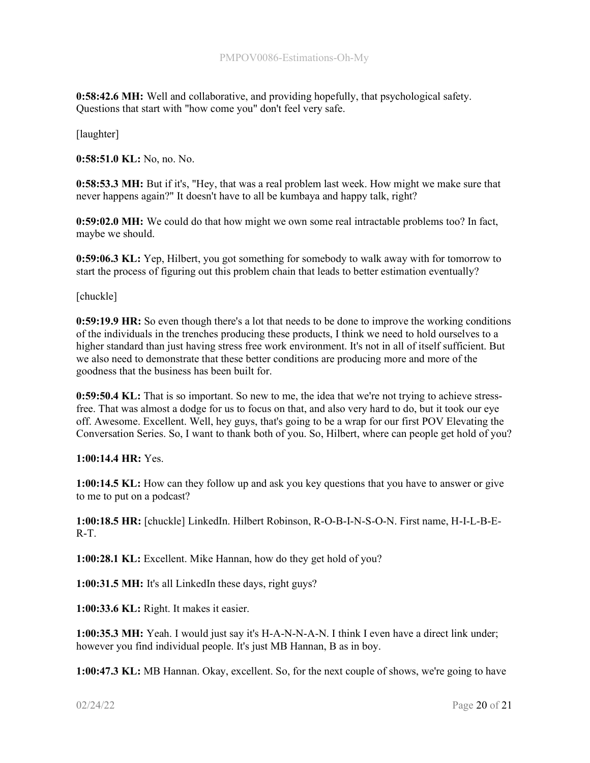0:58:42.6 MH: Well and collaborative, and providing hopefully, that psychological safety. Questions that start with "how come you" don't feel very safe.

[laughter]

0:58:51.0 KL: No, no. No.

0:58:53.3 MH: But if it's, "Hey, that was a real problem last week. How might we make sure that never happens again?" It doesn't have to all be kumbaya and happy talk, right?

0:59:02.0 MH: We could do that how might we own some real intractable problems too? In fact, maybe we should.

0:59:06.3 KL: Yep, Hilbert, you got something for somebody to walk away with for tomorrow to start the process of figuring out this problem chain that leads to better estimation eventually?

[chuckle]

0:59:19.9 HR: So even though there's a lot that needs to be done to improve the working conditions of the individuals in the trenches producing these products, I think we need to hold ourselves to a higher standard than just having stress free work environment. It's not in all of itself sufficient. But we also need to demonstrate that these better conditions are producing more and more of the goodness that the business has been built for.

0:59:50.4 KL: That is so important. So new to me, the idea that we're not trying to achieve stressfree. That was almost a dodge for us to focus on that, and also very hard to do, but it took our eye off. Awesome. Excellent. Well, hey guys, that's going to be a wrap for our first POV Elevating the Conversation Series. So, I want to thank both of you. So, Hilbert, where can people get hold of you?

1:00:14.4 HR: Yes.

1:00:14.5 KL: How can they follow up and ask you key questions that you have to answer or give to me to put on a podcast?

1:00:18.5 HR: [chuckle] LinkedIn. Hilbert Robinson, R-O-B-I-N-S-O-N. First name, H-I-L-B-E-R-T.

1:00:28.1 KL: Excellent. Mike Hannan, how do they get hold of you?

1:00:31.5 MH: It's all LinkedIn these days, right guys?

1:00:33.6 KL: Right. It makes it easier.

1:00:35.3 MH: Yeah. I would just say it's H-A-N-N-A-N. I think I even have a direct link under; however you find individual people. It's just MB Hannan, B as in boy.

1:00:47.3 KL: MB Hannan. Okay, excellent. So, for the next couple of shows, we're going to have